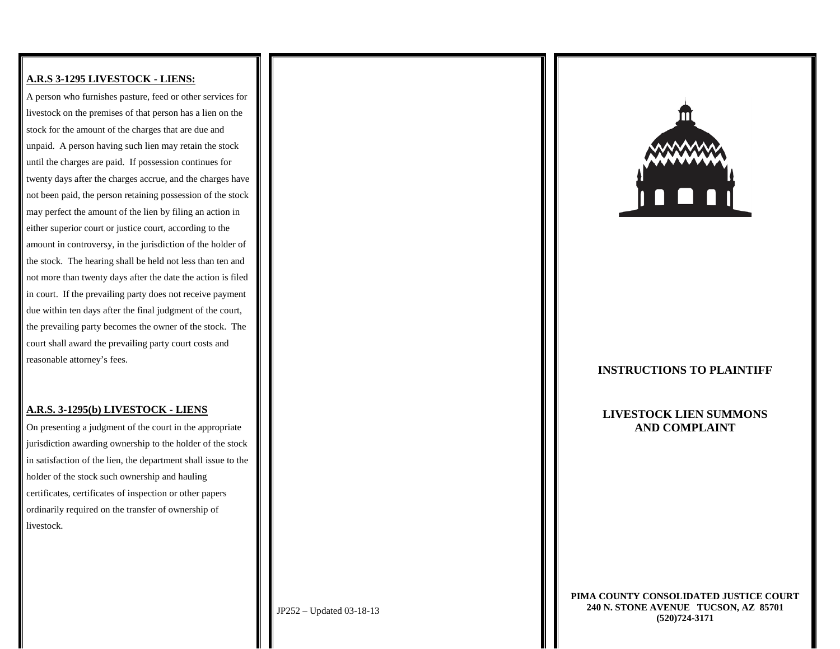### **A.R.S 3-1295 LIVESTOCK - LIENS:**

A person who furnishes pasture, feed or other services for livestock on the premises of that person has a lien on the stock for the amount of the charges that are due and unpaid. A person having such lien may retain the stock until the charges are paid. If possession continues for twenty days after the charges accrue, and the charges have not been paid, the person retaining possession of the stock may perfect the amount of the lien by filing an action in either superior court or justice court, according to the amount in controversy, in the jurisdiction of the holder of the stock. The hearing shall be held not less than ten and not more than twenty days after the date the action is filed in court. If the prevailing party does not receive payment due within ten days after the final judgment of the court, the prevailing party becomes the owner of the stock. The court shall award the prevailing party court costs and reasonable attorney's fees.

#### **A.R.S. 3-1295(b) LIVESTOCK - LIENS**

On presenting a judgment of the court in the appropriate jurisdiction awarding ownership to the holder of the stock in satisfaction of the lien, the department shall issue to the holder of the stock such ownership and hauling certificates, certificates of inspection or other papers ordinarily required on the transfer of ownership of livestock.



### **INSTRUCTIONS TO PLAINTIFF**

**LIVESTOCK LIEN SUMMONS AND COMPLAINT**

**PIMA COUNTY CONSOLIDATED JUSTICE COURT 240 N. STONE AVENUE TUCSON, AZ 85701 (520)724-3171**

JP252 – Updated 03-18-13